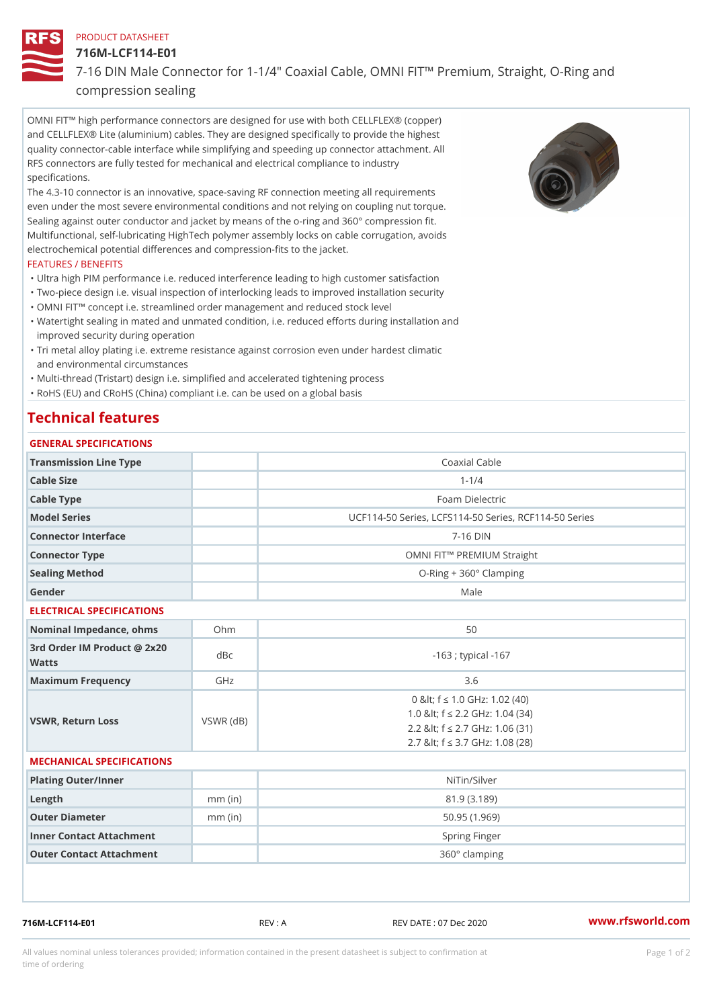#### PRODUCT DATASHEET

716M-LCF114-E01

7-16 DIN Male Connector for 1-1/4" Coaxial Cable, OMNI FIT!" Premium compression sealing

OMNI FIT!" high performance connectors are designed for use with both CELLFLEX® (copper) and CELLFLEX® Lite (aluminium) cables. They are designed specifically to provide the highest quality connector-cable interface while simplifying and speeding up connector attachment. All RFS connectors are fully tested for mechanical and electrical compliance to industry specifications.

The 4.3-10 connector is an innovative, space-saving RF connection meeting all requirements even under the most severe environmental conditions and not relying on coupling nut torque. Sealing against outer conductor and jacket by means of the o-ring and 360° compression fit. Multifunctional, self-lubricating HighTech polymer assembly locks on cable corrugation, avoids electrochemical potential differences and compression-fits to the jacket.

### FEATURES / BENEFITS

- "Ultra high PIM performance i.e. reduced interference leading to high customer satisfaction "Two-piece design i.e. visual inspection of interlocking leads to improved installation security
- "OMNI FIT!" concept i.e. streamlined order management and reduced stock level
- Watertight sealing in mated and unmated condition, i.e. reduced efforts during installation and " improved security during operation
- Tri metal alloy plating i.e. extreme resistance against corrosion even under hardest climatic " and environmental circumstances

"Multi-thread (Tristart) design i.e. simplified and accelerated tightening process

"RoHS (EU) and CRoHS (China) compliant i.e. can be used on a global basis

# Technical features

| GENERAL SPECIFICATIONS                      |                 |                                                                                                                                                 |
|---------------------------------------------|-----------------|-------------------------------------------------------------------------------------------------------------------------------------------------|
| Transmission Line Type                      |                 | Coaxial Cable                                                                                                                                   |
| Cable Size                                  |                 | $1 - 1/4$                                                                                                                                       |
| Cable Type                                  |                 | Foam Dielectric                                                                                                                                 |
| Model Series                                |                 | UCF114-50 Series, LCFS114-50 Series, RCF114-50 S                                                                                                |
| Connector Interface                         |                 | $7 - 16$ DIN                                                                                                                                    |
| Connector Type                              |                 | OMNI FIT!" PREMIUM Straight                                                                                                                     |
| Sealing Method                              |                 | $O-Ring + 360°$ Clamping                                                                                                                        |
| Gender                                      |                 | Male                                                                                                                                            |
| ELECTRICAL SPECIFICATIONS                   |                 |                                                                                                                                                 |
| Nominal Impedance, ohins Ohm                |                 | 50                                                                                                                                              |
| 3rd Order IM Product @ 2x20<br>dBc<br>Watts |                 | $-163$ ; typical $-167$                                                                                                                         |
| Maximum Frequency                           | GHz             | 3.6                                                                                                                                             |
| VSWR, Return Loss                           | $VSWR$ ( $dB$ ) | 0 & It; f "d 1.0 G Hz: 1.02 (40)<br>1.0 & It; f "d 2.2 GHz: 1.04 (34)<br>2.2 & It; f "d 2.7 GHz: 1.06 (31)<br>2.7 & It; f "d 3.7 GHz: 1.08 (28) |
| MECHANICAL SPECIFICATIONS                   |                 |                                                                                                                                                 |
| Plating Outer/Inner                         |                 | NiTin/Silver                                                                                                                                    |
| $L$ ength                                   | $mm$ (in)       | 81.9 (3.189)                                                                                                                                    |
| Outer Diameter                              | $mm$ (in)       | 50.95(1.969)                                                                                                                                    |
| Inner Contact Attachment                    |                 | Spring Finger                                                                                                                                   |
| Outer Contact Attachment                    |                 | 360° clamping                                                                                                                                   |

716M-LCF114-E01 REV : A REV DATE : 07 Dec 2020 [www.](https://www.rfsworld.com)rfsworld.com